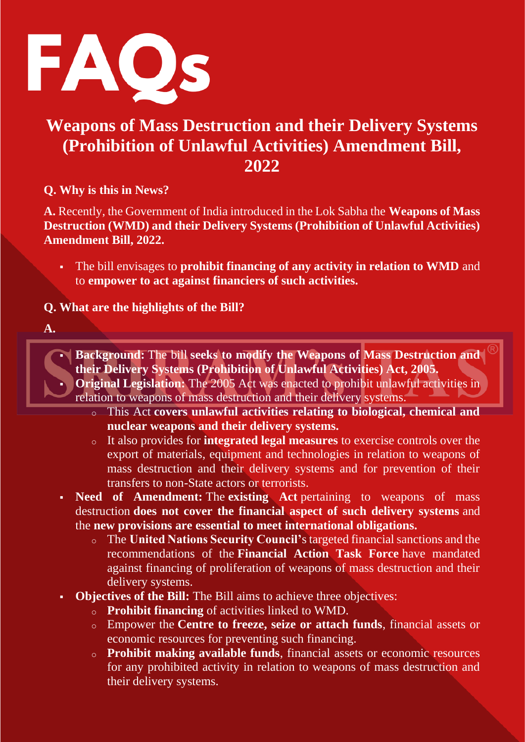

## **Weapons of Mass Destruction and their Delivery Systems (Prohibition of Unlawful Activities) Amendment Bill, 2022**

**Q. Why is this in News?**

**A.** Recently, the Government of India introduced in the Lok Sabha the **Weapons of Mass Destruction (WMD) and their Delivery Systems (Prohibition of Unlawful Activities) Amendment Bill, 2022.**

▪ The bill envisages to **prohibit financing of any activity in relation to WMD** and to **empower to act against financiers of such activities.**

**Q. What are the highlights of the Bill?**

**A.**



- o This Act **covers unlawful activities relating to biological, chemical and nuclear weapons and their delivery systems.**
- o It also provides for **integrated legal measures** to exercise controls over the export of materials, equipment and technologies in relation to weapons of mass destruction and their delivery systems and for prevention of their transfers to non-State actors or terrorists.
- **Need of Amendment:** The **existing Act** pertaining to weapons of mass destruction **does not cover the financial aspect of such delivery systems** and the **new provisions are essential to meet international obligations.**
	- o The **United Nations Security Council'**s targeted financial sanctions and the recommendations of the **Financial Action Task Force** have mandated against financing of proliferation of weapons of mass destruction and their delivery systems.
- **Objectives of the Bill:** The Bill aims to achieve three objectives:
	- o **Prohibit financing** of activities linked to WMD.
	- o Empower the **Centre to freeze, seize or attach funds**, financial assets or economic resources for preventing such financing.
	- o **Prohibit making available funds**, financial assets or economic resources for any prohibited activity in relation to weapons of mass destruction and their delivery systems.